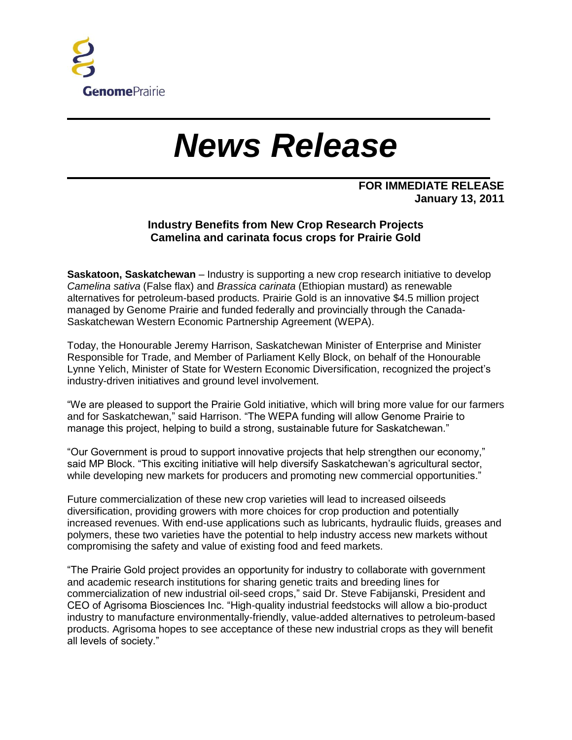

## *News Release*

## **FOR IMMEDIATE RELEASE January 13, 2011**

## **Industry Benefits from New Crop Research Projects Camelina and carinata focus crops for Prairie Gold**

**Saskatoon, Saskatchewan** – Industry is supporting a new crop research initiative to develop *Camelina sativa* (False flax) and *Brassica carinata* (Ethiopian mustard) as renewable alternatives for petroleum-based products. Prairie Gold is an innovative \$4.5 million project managed by Genome Prairie and funded federally and provincially through the Canada-Saskatchewan Western Economic Partnership Agreement (WEPA).

Today, the Honourable Jeremy Harrison, Saskatchewan Minister of Enterprise and Minister Responsible for Trade, and Member of Parliament Kelly Block, on behalf of the Honourable Lynne Yelich, Minister of State for Western Economic Diversification, recognized the project's industry-driven initiatives and ground level involvement.

"We are pleased to support the Prairie Gold initiative, which will bring more value for our farmers and for Saskatchewan," said Harrison. "The WEPA funding will allow Genome Prairie to manage this project, helping to build a strong, sustainable future for Saskatchewan."

"Our Government is proud to support innovative projects that help strengthen our economy," said MP Block. "This exciting initiative will help diversify Saskatchewan's agricultural sector, while developing new markets for producers and promoting new commercial opportunities."

Future commercialization of these new crop varieties will lead to increased oilseeds diversification, providing growers with more choices for crop production and potentially increased revenues. With end-use applications such as lubricants, hydraulic fluids, greases and polymers, these two varieties have the potential to help industry access new markets without compromising the safety and value of existing food and feed markets.

"The Prairie Gold project provides an opportunity for industry to collaborate with government and academic research institutions for sharing genetic traits and breeding lines for commercialization of new industrial oil-seed crops," said Dr. Steve Fabijanski, President and CEO of Agrisoma Biosciences Inc. "High-quality industrial feedstocks will allow a bio-product industry to manufacture environmentally-friendly, value-added alternatives to petroleum-based products. Agrisoma hopes to see acceptance of these new industrial crops as they will benefit all levels of society."